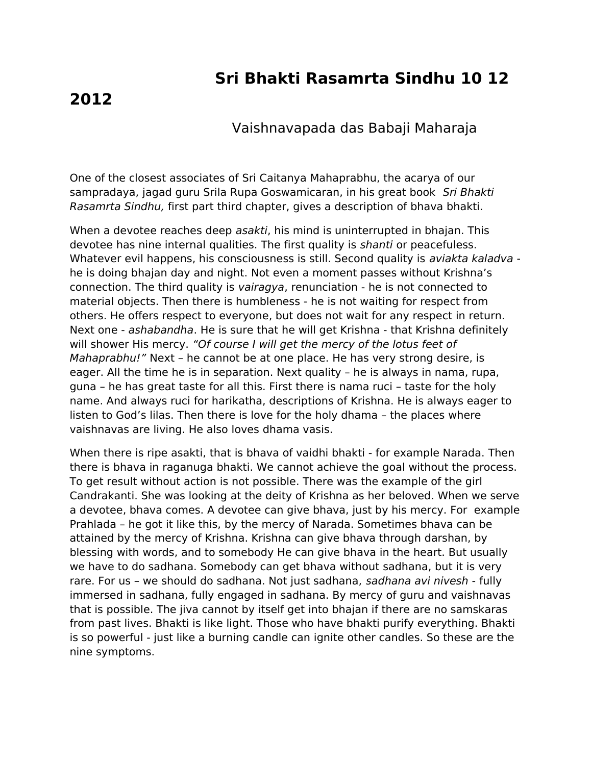## **Sri Bhakti Rasamrta Sindhu 10 12**

## **2012**

## Vaishnavapada das Babaji Maharaja

One of the closest associates of Sri Caitanya Mahaprabhu, the acarya of our sampradaya, jagad guru Srila Rupa Goswamicaran, in his great book Sri Bhakti Rasamrta Sindhu, first part third chapter, gives a description of bhava bhakti.

When a devotee reaches deep asakti, his mind is uninterrupted in bhajan. This devotee has nine internal qualities. The first quality is shanti or peacefuless. Whatever evil happens, his consciousness is still. Second quality is *aviakta kaladva* he is doing bhajan day and night. Not even a moment passes without Krishna's connection. The third quality is vairagya, renunciation - he is not connected to material objects. Then there is humbleness - he is not waiting for respect from others. He offers respect to everyone, but does not wait for any respect in return. Next one - ashabandha. He is sure that he will get Krishna - that Krishna definitely will shower His mercy. "Of course I will get the mercy of the lotus feet of Mahaprabhu!" Next – he cannot be at one place. He has very strong desire, is eager. All the time he is in separation. Next quality – he is always in nama, rupa, guna – he has great taste for all this. First there is nama ruci – taste for the holy name. And always ruci for harikatha, descriptions of Krishna. He is always eager to listen to God's lilas. Then there is love for the holy dhama – the places where vaishnavas are living. He also loves dhama vasis.

When there is ripe asakti, that is bhava of vaidhi bhakti - for example Narada. Then there is bhava in raganuga bhakti. We cannot achieve the goal without the process. To get result without action is not possible. There was the example of the girl Candrakanti. She was looking at the deity of Krishna as her beloved. When we serve a devotee, bhava comes. A devotee can give bhava, just by his mercy. For example Prahlada – he got it like this, by the mercy of Narada. Sometimes bhava can be attained by the mercy of Krishna. Krishna can give bhava through darshan, by blessing with words, and to somebody He can give bhava in the heart. But usually we have to do sadhana. Somebody can get bhava without sadhana, but it is very rare. For us - we should do sadhana. Not just sadhana, sadhana avi nivesh - fully immersed in sadhana, fully engaged in sadhana. By mercy of guru and vaishnavas that is possible. The jiva cannot by itself get into bhajan if there are no samskaras from past lives. Bhakti is like light. Those who have bhakti purify everything. Bhakti is so powerful - just like a burning candle can ignite other candles. So these are the nine symptoms.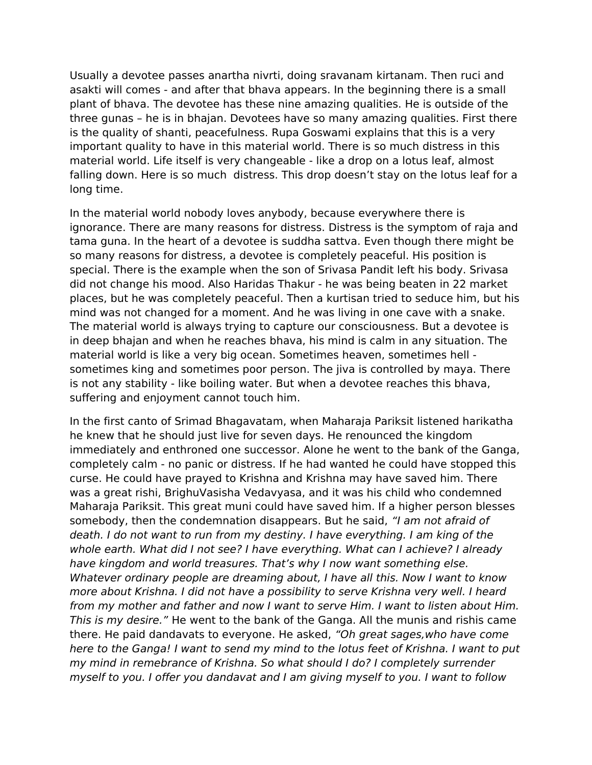Usually a devotee passes anartha nivrti, doing sravanam kirtanam. Then ruci and asakti will comes - and after that bhava appears. In the beginning there is a small plant of bhava. The devotee has these nine amazing qualities. He is outside of the three gunas – he is in bhajan. Devotees have so many amazing qualities. First there is the quality of shanti, peacefulness. Rupa Goswami explains that this is a very important quality to have in this material world. There is so much distress in this material world. Life itself is very changeable - like a drop on a lotus leaf, almost falling down. Here is so much distress. This drop doesn't stay on the lotus leaf for a long time.

In the material world nobody loves anybody, because everywhere there is ignorance. There are many reasons for distress. Distress is the symptom of raja and tama guna. In the heart of a devotee is suddha sattva. Even though there might be so many reasons for distress, a devotee is completely peaceful. His position is special. There is the example when the son of Srivasa Pandit left his body. Srivasa did not change his mood. Also Haridas Thakur - he was being beaten in 22 market places, but he was completely peaceful. Then a kurtisan tried to seduce him, but his mind was not changed for a moment. And he was living in one cave with a snake. The material world is always trying to capture our consciousness. But a devotee is in deep bhajan and when he reaches bhava, his mind is calm in any situation. The material world is like a very big ocean. Sometimes heaven, sometimes hell sometimes king and sometimes poor person. The jiva is controlled by maya. There is not any stability - like boiling water. But when a devotee reaches this bhava, suffering and enjoyment cannot touch him.

In the first canto of Srimad Bhagavatam, when Maharaja Pariksit listened harikatha he knew that he should just live for seven days. He renounced the kingdom immediately and enthroned one successor. Alone he went to the bank of the Ganga, completely calm - no panic or distress. If he had wanted he could have stopped this curse. He could have prayed to Krishna and Krishna may have saved him. There was a great rishi, BrighuVasisha Vedavyasa, and it was his child who condemned Maharaja Pariksit. This great muni could have saved him. If a higher person blesses somebody, then the condemnation disappears. But he said, "I am not afraid of death. I do not want to run from my destiny. I have everything. I am king of the whole earth. What did I not see? I have everything. What can I achieve? I already have kingdom and world treasures. That's why I now want something else. Whatever ordinary people are dreaming about, I have all this. Now I want to know more about Krishna. I did not have a possibility to serve Krishna very well. I heard from my mother and father and now I want to serve Him. I want to listen about Him. This is my desire." He went to the bank of the Ganga. All the munis and rishis came there. He paid dandavats to everyone. He asked, "Oh great sages,who have come here to the Ganga! I want to send my mind to the lotus feet of Krishna. I want to put my mind in remebrance of Krishna. So what should I do? I completely surrender myself to you. I offer you dandavat and I am giving myself to you. I want to follow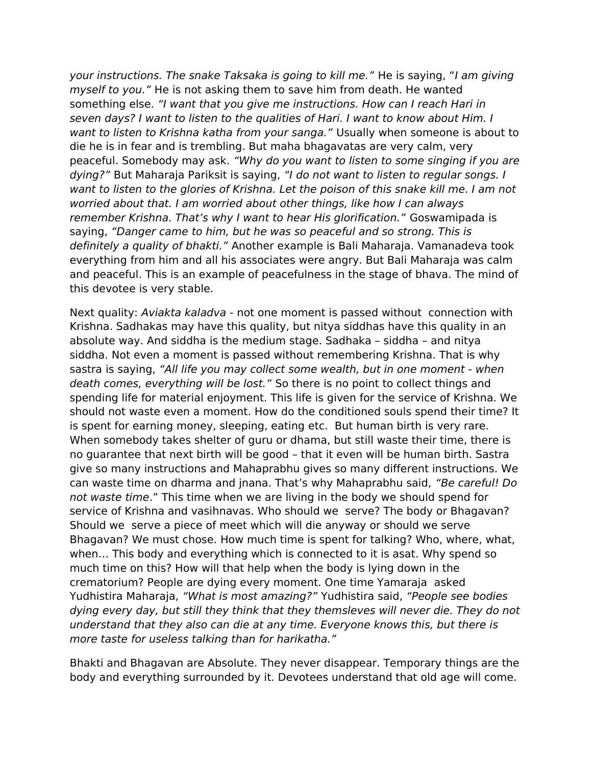your instructions. The snake Taksaka is going to kill me." He is saying, "I am giving myself to you." He is not asking them to save him from death. He wanted something else. "I want that you give me instructions. How can I reach Hari in seven days? I want to listen to the qualities of Hari. I want to know about Him. I want to listen to Krishna katha from your sanga." Usually when someone is about to die he is in fear and is trembling. But maha bhagavatas are very calm, very peaceful. Somebody may ask. "Why do you want to listen to some singing if you are dying?" But Maharaja Pariksit is saying, "I do not want to listen to regular songs. I want to listen to the glories of Krishna. Let the poison of this snake kill me. I am not worried about that. I am worried about other things, like how I can always remember Krishna. That's why I want to hear His glorification." Goswamipada is saying, "Danger came to him, but he was so peaceful and so strong. This is definitely a quality of bhakti." Another example is Bali Maharaja. Vamanadeva took everything from him and all his associates were angry. But Bali Maharaja was calm and peaceful. This is an example of peacefulness in the stage of bhava. The mind of this devotee is very stable.

Next quality: Aviakta kaladva - not one moment is passed without connection with Krishna. Sadhakas may have this quality, but nitya siddhas have this quality in an absolute way. And siddha is the medium stage. Sadhaka – siddha – and nitya siddha. Not even a moment is passed without remembering Krishna. That is why sastra is saying, "All life you may collect some wealth, but in one moment - when death comes, everything will be lost." So there is no point to collect things and spending life for material enjoyment. This life is given for the service of Krishna. We should not waste even a moment. How do the conditioned souls spend their time? It is spent for earning money, sleeping, eating etc. But human birth is very rare. When somebody takes shelter of guru or dhama, but still waste their time, there is no guarantee that next birth will be good – that it even will be human birth. Sastra give so many instructions and Mahaprabhu gives so many different instructions. We can waste time on dharma and jnana. That's why Mahaprabhu said, "Be careful! Do not waste time." This time when we are living in the body we should spend for service of Krishna and vasihnavas. Who should we serve? The body or Bhagavan? Should we serve a piece of meet which will die anyway or should we serve Bhagavan? We must chose. How much time is spent for talking? Who, where, what, when… This body and everything which is connected to it is asat. Why spend so much time on this? How will that help when the body is lying down in the crematorium? People are dying every moment. One time Yamaraja asked Yudhistira Maharaja, "What is most amazing?" Yudhistira said, "People see bodies dying every day, but still they think that they themsleves will never die. They do not understand that they also can die at any time. Everyone knows this, but there is more taste for useless talking than for harikatha."

Bhakti and Bhagavan are Absolute. They never disappear. Temporary things are the body and everything surrounded by it. Devotees understand that old age will come.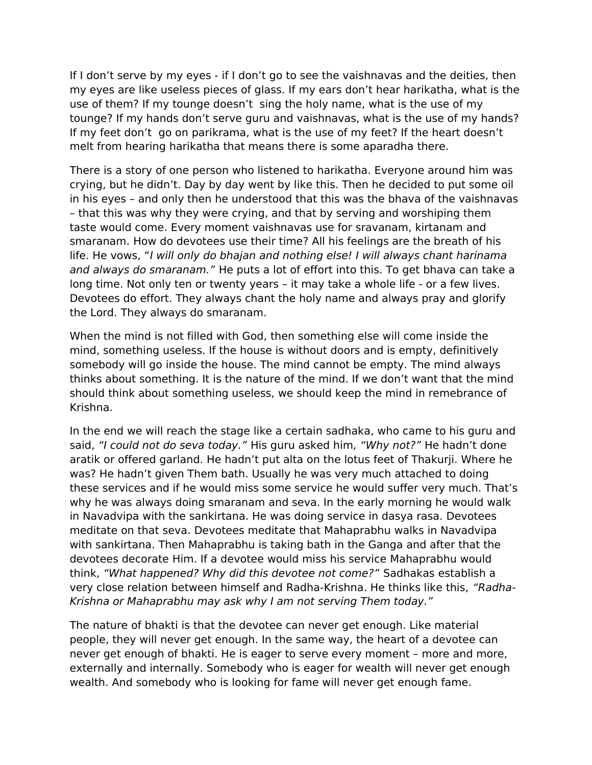If I don't serve by my eyes - if I don't go to see the vaishnavas and the deities, then my eyes are like useless pieces of glass. If my ears don't hear harikatha, what is the use of them? If my tounge doesn't sing the holy name, what is the use of my tounge? If my hands don't serve guru and vaishnavas, what is the use of my hands? If my feet don't go on parikrama, what is the use of my feet? If the heart doesn't melt from hearing harikatha that means there is some aparadha there.

There is a story of one person who listened to harikatha. Everyone around him was crying, but he didn't. Day by day went by like this. Then he decided to put some oil in his eyes – and only then he understood that this was the bhava of the vaishnavas – that this was why they were crying, and that by serving and worshiping them taste would come. Every moment vaishnavas use for sravanam, kirtanam and smaranam. How do devotees use their time? All his feelings are the breath of his life. He vows, "I will only do bhajan and nothing else! I will always chant harinama and always do smaranam." He puts a lot of effort into this. To get bhava can take a long time. Not only ten or twenty years – it may take a whole life - or a few lives. Devotees do effort. They always chant the holy name and always pray and glorify the Lord. They always do smaranam.

When the mind is not filled with God, then something else will come inside the mind, something useless. If the house is without doors and is empty, definitively somebody will go inside the house. The mind cannot be empty. The mind always thinks about something. It is the nature of the mind. If we don't want that the mind should think about something useless, we should keep the mind in remebrance of Krishna.

In the end we will reach the stage like a certain sadhaka, who came to his guru and said, "I could not do seva today." His guru asked him, "Why not?" He hadn't done aratik or offered garland. He hadn't put alta on the lotus feet of Thakurji. Where he was? He hadn't given Them bath. Usually he was very much attached to doing these services and if he would miss some service he would suffer very much. That's why he was always doing smaranam and seva. In the early morning he would walk in Navadvipa with the sankirtana. He was doing service in dasya rasa. Devotees meditate on that seva. Devotees meditate that Mahaprabhu walks in Navadvipa with sankirtana. Then Mahaprabhu is taking bath in the Ganga and after that the devotees decorate Him. If a devotee would miss his service Mahaprabhu would think, "What happened? Why did this devotee not come?" Sadhakas establish a very close relation between himself and Radha-Krishna. He thinks like this, "Radha-Krishna or Mahaprabhu may ask why I am not serving Them today."

The nature of bhakti is that the devotee can never get enough. Like material people, they will never get enough. In the same way, the heart of a devotee can never get enough of bhakti. He is eager to serve every moment – more and more, externally and internally. Somebody who is eager for wealth will never get enough wealth. And somebody who is looking for fame will never get enough fame.